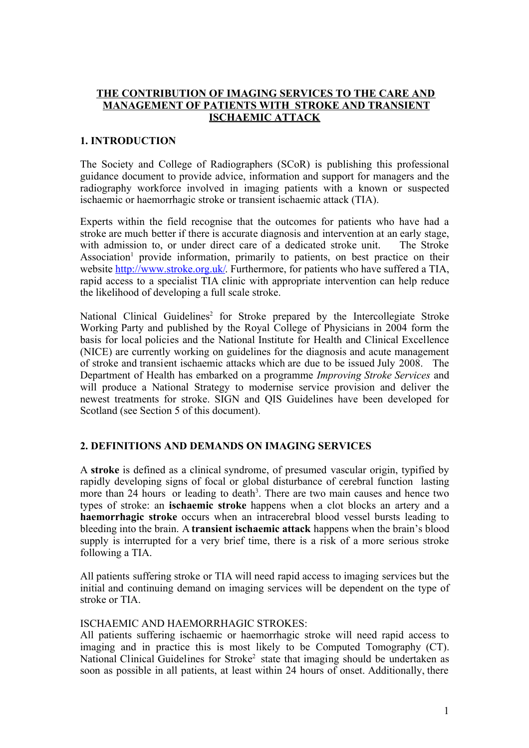### THE CONTRIBUTION OF IMAGING SERVICES TO THE CARE AND MANAGEMENT OF PATIENTS WITH STROKE AND TRANSIENT ISCHAEMIC ATTACK

### 1. INTRODUCTION

The Society and College of Radiographers (SCoR) is publishing this professional guidance document to provide advice, information and support for managers and the radiography workforce involved in imaging patients with a known or suspected ischaemic or haemorrhagic stroke or transient ischaemic attack (TIA).

Experts within the field recognise that the outcomes for patients who have had a stroke are much better if there is accurate diagnosis and intervention at an early stage, with admission to, or under direct care of a dedicated stroke unit. The Stroke Association<sup>1</sup> provide information, primarily to patients, on best practice on their website [http://www.stroke.org.uk/.](http://www.stroke.org.uk/) Furthermore, for patients who have suffered a TIA, rapid access to a specialist TIA clinic with appropriate intervention can help reduce the likelihood of developing a full scale stroke.

National Clinical Guidelines<sup>2</sup> for Stroke prepared by the Intercollegiate Stroke Working Party and published by the Royal College of Physicians in 2004 form the basis for local policies and the National Institute for Health and Clinical Excellence (NICE) are currently working on guidelines for the diagnosis and acute management of stroke and transient ischaemic attacks which are due to be issued July 2008. The Department of Health has embarked on a programme *Improving Stroke Services* and will produce a National Strategy to modernise service provision and deliver the newest treatments for stroke. SIGN and QIS Guidelines have been developed for Scotland (see Section 5 of this document).

# 2. DEFINITIONS AND DEMANDS ON IMAGING SERVICES

A stroke is defined as a clinical syndrome, of presumed vascular origin, typified by rapidly developing signs of focal or global disturbance of cerebral function lasting more than 24 hours or leading to death<sup>3</sup>. There are two main causes and hence two types of stroke: an ischaemic stroke happens when a clot blocks an artery and a haemorrhagic stroke occurs when an intracerebral blood vessel bursts leading to bleeding into the brain. A transient ischaemic attack happens when the brain's blood supply is interrupted for a very brief time, there is a risk of a more serious stroke following a TIA.

All patients suffering stroke or TIA will need rapid access to imaging services but the initial and continuing demand on imaging services will be dependent on the type of stroke or TIA.

#### ISCHAEMIC AND HAEMORRHAGIC STROKES:

All patients suffering ischaemic or haemorrhagic stroke will need rapid access to imaging and in practice this is most likely to be Computed Tomography (CT). National Clinical Guidelines for Stroke<sup>2</sup> state that imaging should be undertaken as soon as possible in all patients, at least within 24 hours of onset. Additionally, there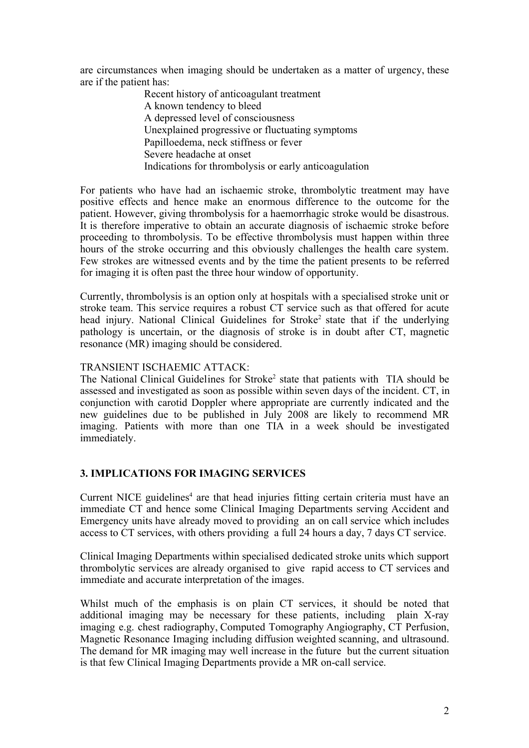are circumstances when imaging should be undertaken as a matter of urgency, these are if the patient has:

> Recent history of anticoagulant treatment A known tendency to bleed A depressed level of consciousness Unexplained progressive or fluctuating symptoms Papilloedema, neck stiffness or fever Severe headache at onset Indications for thrombolysis or early anticoagulation

For patients who have had an ischaemic stroke, thrombolytic treatment may have positive effects and hence make an enormous difference to the outcome for the patient. However, giving thrombolysis for a haemorrhagic stroke would be disastrous. It is therefore imperative to obtain an accurate diagnosis of ischaemic stroke before proceeding to thrombolysis. To be effective thrombolysis must happen within three hours of the stroke occurring and this obviously challenges the health care system. Few strokes are witnessed events and by the time the patient presents to be referred for imaging it is often past the three hour window of opportunity.

Currently, thrombolysis is an option only at hospitals with a specialised stroke unit or stroke team. This service requires a robust CT service such as that offered for acute head injury. National Clinical Guidelines for Stroke<sup>2</sup> state that if the underlying pathology is uncertain, or the diagnosis of stroke is in doubt after CT, magnetic resonance (MR) imaging should be considered.

### TRANSIENT ISCHAEMIC ATTACK:

The National Clinical Guidelines for Stroke<sup>2</sup> state that patients with TIA should be assessed and investigated as soon as possible within seven days of the incident. CT, in conjunction with carotid Doppler where appropriate are currently indicated and the new guidelines due to be published in July 2008 are likely to recommend MR imaging. Patients with more than one TIA in a week should be investigated immediately.

# 3. IMPLICATIONS FOR IMAGING SERVICES

Current NICE guidelines<sup>4</sup> are that head injuries fitting certain criteria must have an immediate CT and hence some Clinical Imaging Departments serving Accident and Emergency units have already moved to providing an on call service which includes access to CT services, with others providing a full 24 hours a day, 7 days CT service.

Clinical Imaging Departments within specialised dedicated stroke units which support thrombolytic services are already organised to give rapid access to CT services and immediate and accurate interpretation of the images.

Whilst much of the emphasis is on plain CT services, it should be noted that additional imaging may be necessary for these patients, including plain X-ray imaging e.g. chest radiography, Computed Tomography Angiography, CT Perfusion, Magnetic Resonance Imaging including diffusion weighted scanning, and ultrasound. The demand for MR imaging may well increase in the future but the current situation is that few Clinical Imaging Departments provide a MR on-call service.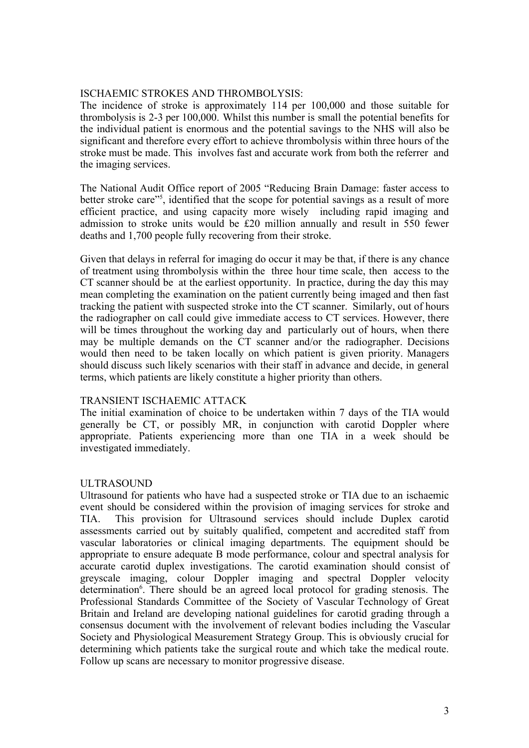### ISCHAEMIC STROKES AND THROMBOLYSIS:

The incidence of stroke is approximately 114 per 100,000 and those suitable for thrombolysis is 2-3 per 100,000. Whilst this number is small the potential benefits for the individual patient is enormous and the potential savings to the NHS will also be significant and therefore every effort to achieve thrombolysis within three hours of the stroke must be made. This involves fast and accurate work from both the referrer and the imaging services.

The National Audit Office report of 2005 "Reducing Brain Damage: faster access to better stroke care"<sup>5</sup>, identified that the scope for potential savings as a result of more efficient practice, and using capacity more wisely including rapid imaging and admission to stroke units would be £20 million annually and result in 550 fewer deaths and 1,700 people fully recovering from their stroke.

Given that delays in referral for imaging do occur it may be that, if there is any chance of treatment using thrombolysis within the three hour time scale, then access to the CT scanner should be at the earliest opportunity. In practice, during the day this may mean completing the examination on the patient currently being imaged and then fast tracking the patient with suspected stroke into the CT scanner. Similarly, out of hours the radiographer on call could give immediate access to CT services. However, there will be times throughout the working day and particularly out of hours, when there may be multiple demands on the CT scanner and/or the radiographer. Decisions would then need to be taken locally on which patient is given priority. Managers should discuss such likely scenarios with their staff in advance and decide, in general terms, which patients are likely constitute a higher priority than others.

### TRANSIENT ISCHAEMIC ATTACK

The initial examination of choice to be undertaken within 7 days of the TIA would generally be CT, or possibly MR, in conjunction with carotid Doppler where appropriate. Patients experiencing more than one TIA in a week should be investigated immediately.

# ULTRASOUND

Ultrasound for patients who have had a suspected stroke or TIA due to an ischaemic event should be considered within the provision of imaging services for stroke and TIA. This provision for Ultrasound services should include Duplex carotid assessments carried out by suitably qualified, competent and accredited staff from vascular laboratories or clinical imaging departments. The equipment should be appropriate to ensure adequate B mode performance, colour and spectral analysis for accurate carotid duplex investigations. The carotid examination should consist of greyscale imaging, colour Doppler imaging and spectral Doppler velocity determination<sup>6</sup>. There should be an agreed local protocol for grading stenosis. The Professional Standards Committee of the Society of Vascular Technology of Great Britain and Ireland are developing national guidelines for carotid grading through a consensus document with the involvement of relevant bodies including the Vascular Society and Physiological Measurement Strategy Group. This is obviously crucial for determining which patients take the surgical route and which take the medical route. Follow up scans are necessary to monitor progressive disease.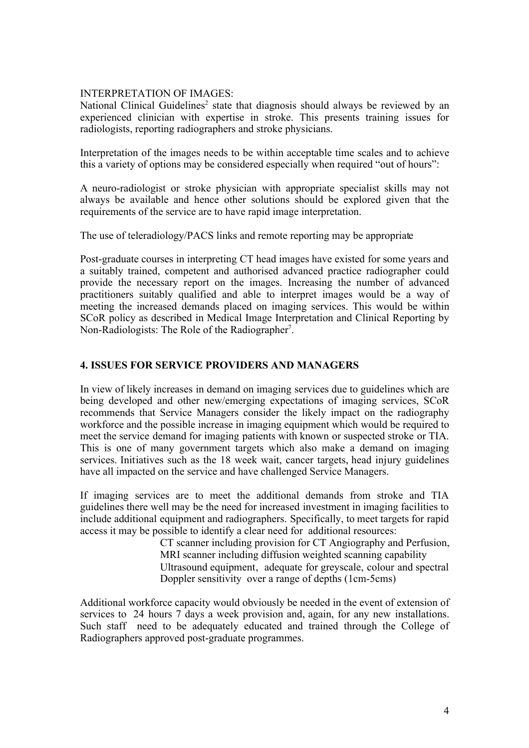# INTERPRETATION OF IMAGES:

National Clinical Guidelines<sup>2</sup> state that diagnosis should always be reviewed by an experienced clinician with expertise in stroke. This presents training issues for radiologists, reporting radiographers and stroke physicians.

Interpretation of the images needs to be within acceptable time scales and to achieve this a variety of options may be considered especially when required "out of hours":

A neuro-radiologist or stroke physician with appropriate specialist skills may not always be available and hence other solutions should be explored given that the requirements of the service are to have rapid image interpretation.

The use of teleradiology/PACS links and remote reporting may be appropriate

Post-graduate courses in interpreting CT head images have existed for some years and a suitably trained, competent and authorised advanced practice radiographer could provide the necessary report on the images. Increasing the number of advanced practitioners suitably qualified and able to interpret images would be a way of meeting the increased demands placed on imaging services. This would be within SCoR policy as described in Medical Image Interpretation and Clinical Reporting by Non-Radiologists: The Role of the Radiographer<sup>7</sup>.

### 4. ISSUES FOR SERVICE PROVIDERS AND MANAGERS

In view of likely increases in demand on imaging services due to guidelines which are being developed and other new/emerging expectations of imaging services, SCoR recommends that Service Managers consider the likely impact on the radiography workforce and the possible increase in imaging equipment which would be required to meet the service demand for imaging patients with known or suspected stroke or TIA. This is one of many government targets which also make a demand on imaging services. Initiatives such as the 18 week wait, cancer targets, head injury guidelines have all impacted on the service and have challenged Service Managers.

If imaging services are to meet the additional demands from stroke and TIA guidelines there well may be the need for increased investment in imaging facilities to include additional equipment and radiographers. Specifically, to meet targets for rapid access it may be possible to identify a clear need for additional resources:

CT scanner including provision for CT Angiography and Perfusion, MRI scanner including diffusion weighted scanning capability Ultrasound equipment, adequate for greyscale, colour and spectral Doppler sensitivity over a range of depths (1cm-5cms)

Additional workforce capacity would obviously be needed in the event of extension of services to 24 hours 7 days a week provision and, again, for any new installations. Such staff need to be adequately educated and trained through the College of Radiographers approved post-graduate programmes.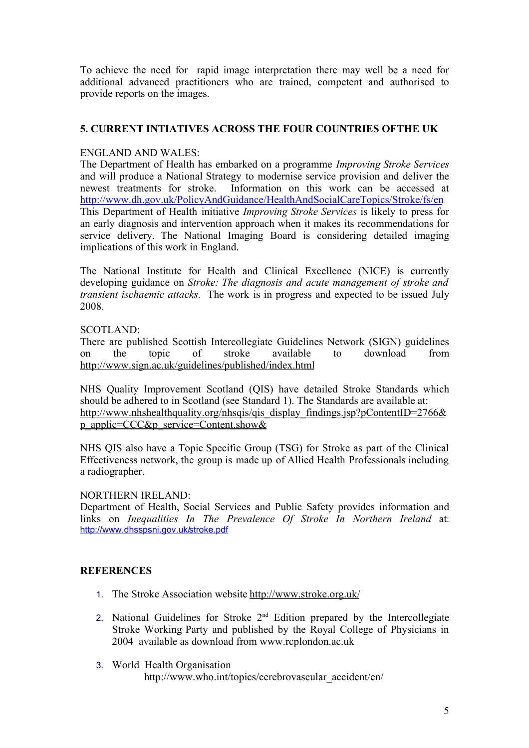To achieve the need for rapid image interpretation there may well be a need for additional advanced practitioners who are trained, competent and authorised to provide reports on the images.

# 5. CURRENT INTIATIVES ACROSS THE FOUR COUNTRIES OF THE UK

### ENGLAND AND WALES:

The Department of Health has embarked on a programme *Improving Stroke Services* and will produce a National Strategy to modernise service provision and deliver the newest treatments for stroke. Information on this work can be accessed at <http://www.dh.gov.uk/PolicyAndGuidance/HealthAndSocialCareTopics/Stroke/fs/en> This Department of Health initiative *Improving Stroke Services* is likely to press for an early diagnosis and intervention approach when it makes its recommendations for service delivery. The National Imaging Board is considering detailed imaging implications of this work in England.

The National Institute for Health and Clinical Excellence (NICE) is currently developing guidance on *Stroke: The diagnosis and acute management of stroke and transient ischaemic attacks*. The work is in progress and expected to be issued July 2008.

### SCOTLAND:

There are published Scottish Intercollegiate Guidelines Network (SIGN) guidelines on the topic of stroke available to download from <http://www.sign.ac.uk/guidelines/published/index.html>

NHS Quality Improvement Scotland (QIS) have detailed Stroke Standards which should be adhered to in Scotland (see Standard 1). The Standards are available at: [http://www.nhshealthquality.org/nhsqis/qis\\_display\\_findings.jsp?pContentID=2766&](http://www.nhshealthquality.org/nhsqis/qis_display_findings.jsp?pContentID=2766&p_applic=CCC&p_service=Content.show&) [p\\_applic=CCC&p\\_service=Content.show&](http://www.nhshealthquality.org/nhsqis/qis_display_findings.jsp?pContentID=2766&p_applic=CCC&p_service=Content.show&)

NHS QIS also have a Topic Specific Group (TSG) for Stroke as part of the Clinical Effectiveness network, the group is made up of Allied Health Professionals including a radiographer.

### NORTHERN IRELAND:

Department of Health, Social Services and Public Safety provides information and links on *Inequalities In The Prevalence Of Stroke In Northern Ireland* at: <http://www.dhsspsni.gov.uk/stroke.pdf>

### **REFERENCES**

- 1. The Stroke Association website<http://www.stroke.org.uk/>
- 2. National Guidelines for Stroke  $2<sup>nd</sup>$  Edition prepared by the Intercollegiate Stroke Working Party and published by the Royal College of Physicians in 2004 available as download from [www.rcplondon.ac.uk](http://www.rcplondon.ac.uk/)
- 3. World Health Organisation http://www.who.int/topics/cerebrovascular\_accident/en/